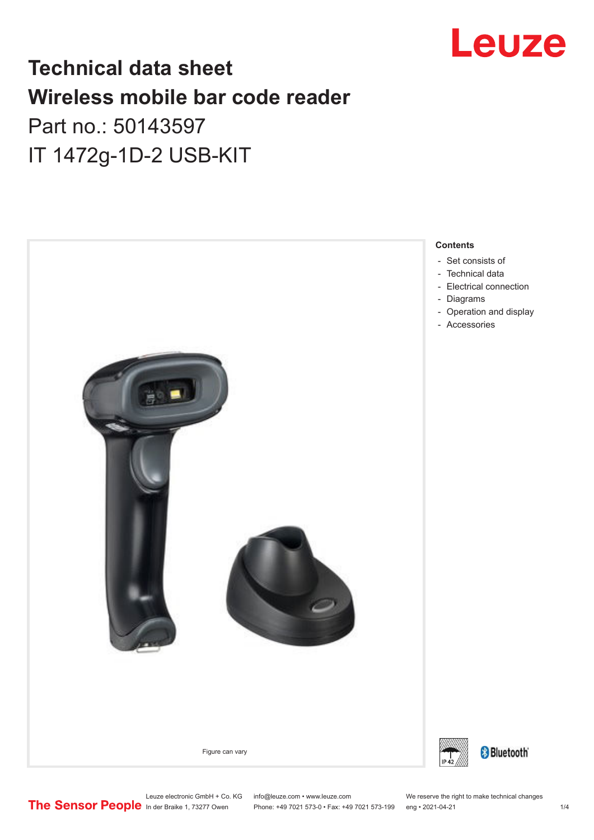

## **Technical data sheet Wireless mobile bar code reader**

## Part no.: 50143597 IT 1472g-1D-2 USB-KIT



- Set consists of
- [Technical data](#page-1-0)
- [Electrical connection](#page-2-0)
- [Operation and display](#page-2-0)
- [Accessories](#page-2-0)



Leuze electronic GmbH + Co. KG info@leuze.com • www.leuze.com We reserve the right to make technical changes<br>
The Sensor People in der Braike 1, 73277 Owen Phone: +49 7021 573-0 • Fax: +49 7021 573-199 eng • 2021-04-21

Phone: +49 7021 573-0 • Fax: +49 7021 573-199 eng • 2021-04-21 1 2021-04-21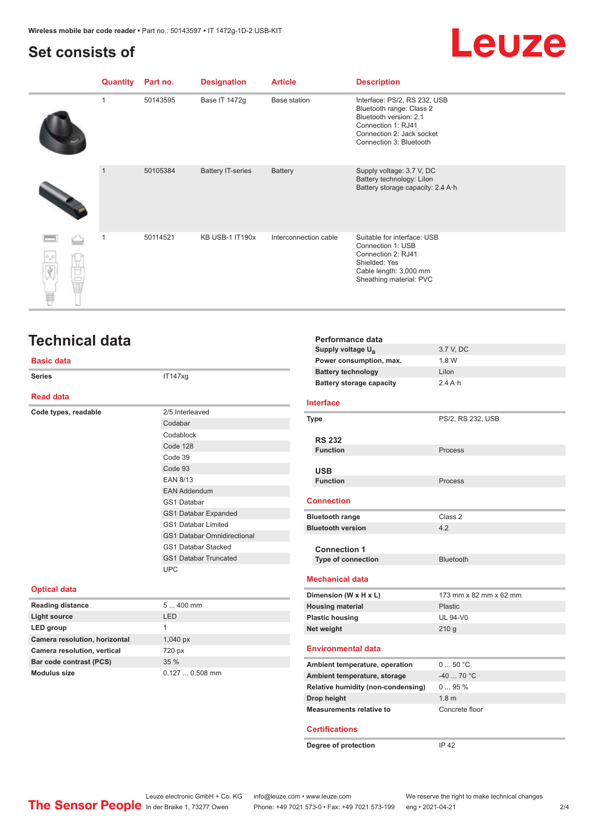## <span id="page-1-0"></span>**Set consists of**

# **Leuze**

| Quantity     | Part no. | <b>Designation</b>       | <b>Article</b>        | <b>Description</b>                                                                                                                                               |
|--------------|----------|--------------------------|-----------------------|------------------------------------------------------------------------------------------------------------------------------------------------------------------|
| 1            | 50143595 | Base IT 1472g            | <b>Base station</b>   | Interface: PS/2, RS 232, USB<br>Bluetooth range: Class 2<br>Bluetooth version: 2.1<br>Connection 1: RJ41<br>Connection 2: Jack socket<br>Connection 3: Bluetooth |
| $\mathbf{1}$ | 50105384 | <b>Battery IT-series</b> | <b>Battery</b>        | Supply voltage: 3.7 V, DC<br>Battery technology: Lilon<br>Battery storage capacity: 2.4 A h                                                                      |
|              | 50114521 | KB USB-1 IT190x          | Interconnection cable | Suitable for interface: USB<br>Connection 1: USB<br>Connection 2: RJ41<br>Shielded: Yes<br>Cable length: 3,000 mm<br>Sheathing material: PVC                     |

## **Technical data**

#### **Basic data**

| <b>Series</b>           | IT147xg                            |
|-------------------------|------------------------------------|
| <b>Read data</b>        |                                    |
| Code types, readable    | 2/5 Interleaved                    |
|                         | Codabar                            |
|                         | Codablock                          |
|                         | Code 128                           |
|                         | Code 39                            |
|                         | Code 93                            |
|                         | <b>EAN 8/13</b>                    |
|                         | <b>EAN Addendum</b>                |
|                         | GS1 Databar                        |
|                         | <b>GS1 Databar Expanded</b>        |
|                         | <b>GS1 Databar Limited</b>         |
|                         | <b>GS1 Databar Omnidirectional</b> |
|                         | <b>GS1 Databar Stacked</b>         |
|                         | <b>GS1 Databar Truncated</b>       |
|                         | <b>UPC</b>                         |
| <b>Optical data</b>     |                                    |
| <b>Reading distance</b> | 5 400 mm                           |

| <b>Optical data</b>           |                      |
|-------------------------------|----------------------|
| <b>Reading distance</b>       | $5400$ mm            |
| <b>Light source</b>           | <b>LED</b>           |
| LED group                     |                      |
| Camera resolution, horizontal | $1,040\,\mathrm{px}$ |
| Camera resolution, vertical   | 720 px               |
| Bar code contrast (PCS)       | 35%                  |
| Modulus size                  | $0.1270.508$ mm      |
|                               |                      |

| Performance data                   |                        |
|------------------------------------|------------------------|
| Supply voltage U <sub>p</sub>      | 3.7 V, DC              |
| Power consumption, max.            | 1.8 W                  |
| <b>Battery technology</b>          | Lilon                  |
| <b>Battery storage capacity</b>    | $2.4A \cdot h$         |
| <b>Interface</b>                   |                        |
| <b>Type</b>                        | PS/2, RS 232, USB      |
| <b>RS 232</b>                      |                        |
| <b>Function</b>                    | Process                |
|                                    |                        |
| <b>USB</b>                         |                        |
| <b>Function</b>                    | Process                |
|                                    |                        |
| <b>Connection</b>                  |                        |
| <b>Bluetooth range</b>             | Class <sub>2</sub>     |
| <b>Bluetooth version</b>           | 42                     |
|                                    |                        |
| <b>Connection 1</b>                |                        |
| <b>Type of connection</b>          | <b>Bluetooth</b>       |
| <b>Mechanical data</b>             |                        |
| Dimension (W x H x L)              | 173 mm x 82 mm x 62 mm |
| <b>Housing material</b>            | Plastic                |
| <b>Plastic housing</b>             | <b>UL 94-V0</b>        |
| Net weight                         | 210g                   |
|                                    |                        |
| <b>Environmental data</b>          |                        |
| Ambient temperature, operation     | 050 °C                 |
| Ambient temperature, storage       | $-40$ 70 °C            |
| Relative humidity (non-condensing) | 095%                   |
| Drop height                        | 1.8 <sub>m</sub>       |
| <b>Measurements relative to</b>    | Concrete floor         |
|                                    |                        |
| <b>Certifications</b>              |                        |
| Degree of protection               | <b>IP 42</b>           |
|                                    |                        |

Leuze electronic GmbH + Co. KG info@leuze.com • www.leuze.com We reserve the right to make technical changes ln der Braike 1, 73277 Owen Phone: +49 7021 573-0 • Fax: +49 7021 573-199 eng • 2021-04-21 2/4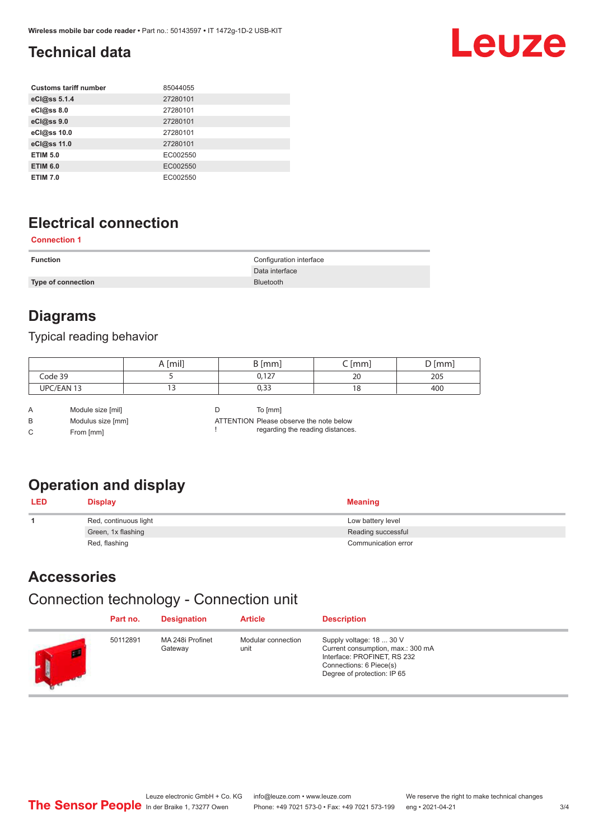## <span id="page-2-0"></span>**Technical data**

| <b>Customs tariff number</b> | 85044055 |
|------------------------------|----------|
| eCl@ss 5.1.4                 | 27280101 |
| eCl@ss 8.0                   | 27280101 |
| eCl@ss 9.0                   | 27280101 |
| eCl@ss 10.0                  | 27280101 |
| eCl@ss 11.0                  | 27280101 |
| <b>ETIM 5.0</b>              | EC002550 |
| <b>ETIM 6.0</b>              | EC002550 |
| <b>ETIM 7.0</b>              | EC002550 |

## **Electrical connection**

#### **Connection 1**

| <b>Function</b>           | Configuration interface |
|---------------------------|-------------------------|
|                           | Data interface          |
| <b>Type of connection</b> | <b>Bluetooth</b>        |

## **Diagrams**

#### Typical reading behavior

|            | A [mil] | $\lfloor mm \rfloor$<br>ັ | [mm]<br>∽ | [mm]<br>ັ |
|------------|---------|---------------------------|-----------|-----------|
| Code 39    |         | 0,127                     | 20        | 205       |
| UPC/EAN 13 | -       | ר ר<br>ככ,ט               | 18        | 400       |

A Module size [mil] B Modulus size [mm] C From [mm]

D To [mm]

!

ATTENTION Please observe the note below regarding the reading distances.

## **Operation and display**

| <b>LED</b> | <b>Display</b>        | <b>Meaning</b>      |
|------------|-----------------------|---------------------|
|            | Red, continuous light | Low battery level   |
|            | Green, 1x flashing    | Reading successful  |
|            | Red, flashing         | Communication error |

## **Accessories**

## Connection technology - Connection unit

| Part no. | <b>Designation</b>          | <b>Article</b>             | <b>Description</b>                                                                                                                                     |
|----------|-----------------------------|----------------------------|--------------------------------------------------------------------------------------------------------------------------------------------------------|
| 50112891 | MA 248i Profinet<br>Gateway | Modular connection<br>unit | Supply voltage: 18  30 V<br>Current consumption, max.: 300 mA<br>Interface: PROFINET, RS 232<br>Connections: 6 Piece(s)<br>Degree of protection: IP 65 |